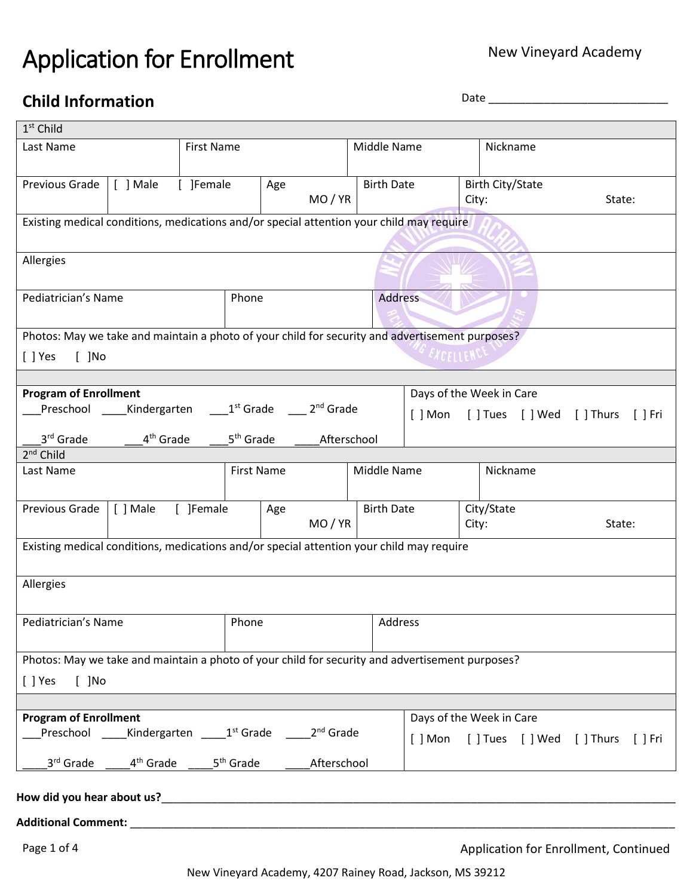# Application for Enrollment

# **Child Information** Date **Date Date Date Date Date Date Date Date Date Date Date Date Date Date Date Date Date Date Date Date Date Date Date Date Date Date Date Date**

| $1st$ Child                                                                                                                                             |                       |           |                       |     |                                             |             |                   |                          |       |                         |  |                                |             |
|---------------------------------------------------------------------------------------------------------------------------------------------------------|-----------------------|-----------|-----------------------|-----|---------------------------------------------|-------------|-------------------|--------------------------|-------|-------------------------|--|--------------------------------|-------------|
| <b>First Name</b><br>Last Name                                                                                                                          |                       |           |                       |     |                                             |             | Middle Name       |                          |       | Nickname                |  |                                |             |
|                                                                                                                                                         |                       |           |                       |     |                                             |             |                   |                          |       |                         |  |                                |             |
| Previous Grade                                                                                                                                          | [ ] Male              | [ ]Female |                       | Age |                                             |             | <b>Birth Date</b> |                          |       | <b>Birth City/State</b> |  |                                |             |
|                                                                                                                                                         |                       |           |                       |     | MO/YR                                       |             |                   |                          | City: |                         |  | State:                         |             |
| Existing medical conditions, medications and/or special attention your child may require                                                                |                       |           |                       |     |                                             |             |                   |                          |       |                         |  |                                |             |
|                                                                                                                                                         |                       |           |                       |     |                                             |             |                   |                          |       |                         |  |                                |             |
|                                                                                                                                                         |                       |           |                       |     |                                             |             |                   |                          |       |                         |  |                                |             |
| Allergies                                                                                                                                               |                       |           |                       |     |                                             |             |                   |                          |       |                         |  |                                |             |
|                                                                                                                                                         |                       |           |                       |     |                                             |             |                   |                          |       |                         |  |                                |             |
| Pediatrician's Name                                                                                                                                     |                       |           | Phone                 |     |                                             |             | <b>Address</b>    |                          |       |                         |  |                                |             |
|                                                                                                                                                         |                       |           |                       |     |                                             |             |                   |                          |       |                         |  |                                |             |
| Photos: May we take and maintain a photo of your child for security and advertisement purposes?                                                         |                       |           |                       |     |                                             |             |                   |                          |       |                         |  |                                |             |
| $[ ]$ Yes<br>$[$ ]No                                                                                                                                    |                       |           |                       |     |                                             |             |                   | <i><b>EXCELLENCT</b></i> |       |                         |  |                                |             |
|                                                                                                                                                         |                       |           |                       |     |                                             |             |                   |                          |       |                         |  |                                |             |
| <b>Program of Enrollment</b>                                                                                                                            |                       |           |                       |     |                                             |             |                   | Days of the Week in Care |       |                         |  |                                |             |
| Preschool _____Kindergarten                                                                                                                             |                       |           |                       |     | 1 <sup>st</sup> Grade 2 <sup>nd</sup> Grade |             |                   |                          |       |                         |  | [] Mon [] Tues [] Wed [] Thurs | $[$ $]$ Fri |
|                                                                                                                                                         |                       |           |                       |     |                                             |             |                   |                          |       |                         |  |                                |             |
| 3rd Grade                                                                                                                                               | 4 <sup>th</sup> Grade |           | 5 <sup>th</sup> Grade |     | Afterschool                                 |             |                   |                          |       |                         |  |                                |             |
| $2nd$ Child                                                                                                                                             |                       |           |                       |     |                                             |             |                   |                          |       |                         |  |                                |             |
| Last Name                                                                                                                                               |                       |           | <b>First Name</b>     |     |                                             | Middle Name |                   |                          |       | Nickname                |  |                                |             |
|                                                                                                                                                         |                       |           |                       |     |                                             |             |                   |                          |       |                         |  |                                |             |
| Previous Grade                                                                                                                                          | [ ] Male              | [ ]Female |                       | Age |                                             |             | <b>Birth Date</b> |                          |       | City/State              |  |                                |             |
|                                                                                                                                                         |                       |           |                       |     | MO / YR                                     |             |                   |                          |       | City:                   |  | State:                         |             |
| Existing medical conditions, medications and/or special attention your child may require                                                                |                       |           |                       |     |                                             |             |                   |                          |       |                         |  |                                |             |
|                                                                                                                                                         |                       |           |                       |     |                                             |             |                   |                          |       |                         |  |                                |             |
|                                                                                                                                                         |                       |           |                       |     |                                             |             |                   |                          |       |                         |  |                                |             |
| Allergies                                                                                                                                               |                       |           |                       |     |                                             |             |                   |                          |       |                         |  |                                |             |
|                                                                                                                                                         |                       |           |                       |     |                                             |             |                   |                          |       |                         |  |                                |             |
| Pediatrician's Name                                                                                                                                     |                       |           | Phone                 |     |                                             | Address     |                   |                          |       |                         |  |                                |             |
|                                                                                                                                                         |                       |           |                       |     |                                             |             |                   |                          |       |                         |  |                                |             |
| Photos: May we take and maintain a photo of your child for security and advertisement purposes?                                                         |                       |           |                       |     |                                             |             |                   |                          |       |                         |  |                                |             |
| $[ ]$ Yes<br>$[$ ]No                                                                                                                                    |                       |           |                       |     |                                             |             |                   |                          |       |                         |  |                                |             |
|                                                                                                                                                         |                       |           |                       |     |                                             |             |                   |                          |       |                         |  |                                |             |
| <b>Program of Enrollment</b>                                                                                                                            |                       |           |                       |     |                                             |             |                   |                          |       |                         |  |                                |             |
| Days of the Week in Care<br>Preschool _____Kindergarten _____1 <sup>st</sup> Grade ______2 <sup>nd</sup> Grade<br>[] Mon [] Tues [] Wed [] Thurs [] Fri |                       |           |                       |     |                                             |             |                   |                          |       |                         |  |                                |             |
|                                                                                                                                                         |                       |           |                       |     |                                             |             |                   |                          |       |                         |  |                                |             |
| 3 <sup>rd</sup> Grade<br>4 <sup>th</sup> Grade 5 <sup>th</sup> Grade<br>Afterschool                                                                     |                       |           |                       |     |                                             |             |                   |                          |       |                         |  |                                |             |
|                                                                                                                                                         |                       |           |                       |     |                                             |             |                   |                          |       |                         |  |                                |             |
| How did you hear about us?<br>How did you hear about us?                                                                                                |                       |           |                       |     |                                             |             |                   |                          |       |                         |  |                                |             |
|                                                                                                                                                         |                       |           |                       |     |                                             |             |                   |                          |       |                         |  |                                |             |
|                                                                                                                                                         |                       |           |                       |     |                                             |             |                   |                          |       |                         |  |                                |             |

Page 1 of 4 Application for Enrollment, Continued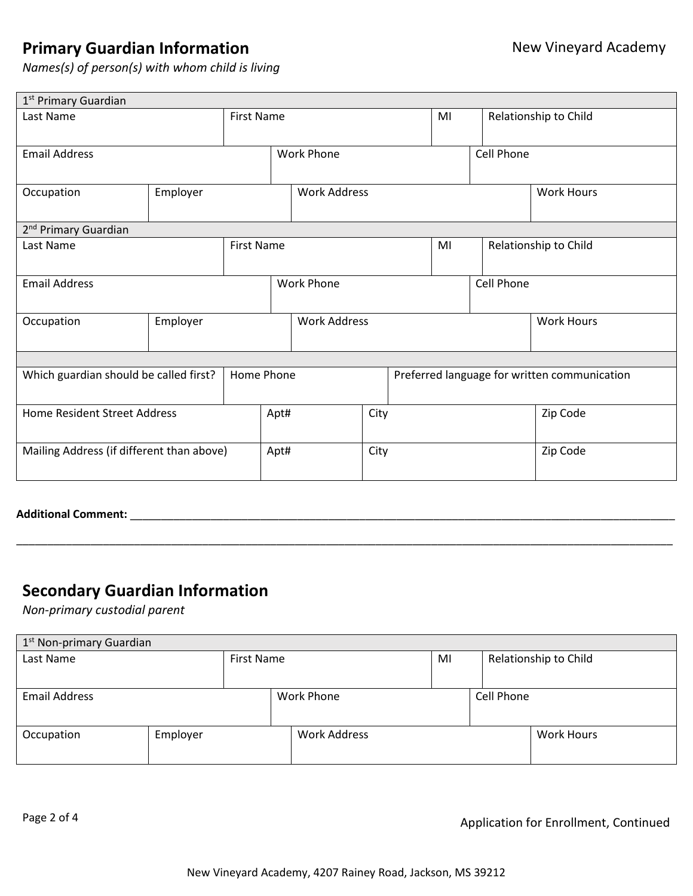### **Primary Guardian Information**

*Names(s) of person(s) with whom child is living*

| 1 <sup>st</sup> Primary Guardian          |          |                   |                     |                     |                                              |    |            |                       |                       |  |
|-------------------------------------------|----------|-------------------|---------------------|---------------------|----------------------------------------------|----|------------|-----------------------|-----------------------|--|
| Last Name                                 |          | <b>First Name</b> |                     |                     |                                              |    | MI         |                       | Relationship to Child |  |
| <b>Email Address</b>                      |          |                   | <b>Work Phone</b>   |                     |                                              |    | Cell Phone |                       |                       |  |
| Occupation<br>Employer                    |          |                   | <b>Work Address</b> |                     |                                              |    |            | <b>Work Hours</b>     |                       |  |
| 2 <sup>nd</sup> Primary Guardian          |          |                   |                     |                     |                                              |    |            |                       |                       |  |
| Last Name                                 |          | <b>First Name</b> |                     |                     |                                              | MI |            | Relationship to Child |                       |  |
| <b>Email Address</b>                      |          |                   | <b>Work Phone</b>   |                     |                                              |    |            | Cell Phone            |                       |  |
| Occupation                                | Employer |                   |                     | <b>Work Address</b> |                                              |    |            |                       | <b>Work Hours</b>     |  |
|                                           |          |                   |                     |                     |                                              |    |            |                       |                       |  |
| Which guardian should be called first?    |          | Home Phone        |                     |                     | Preferred language for written communication |    |            |                       |                       |  |
| Home Resident Street Address              |          |                   | Apt#                |                     | City                                         |    |            |                       | Zip Code              |  |
| Mailing Address (if different than above) |          |                   | Apt#                |                     | City                                         |    |            |                       | Zip Code              |  |

**Additional Comment:** \_\_\_\_\_\_\_\_\_\_\_\_\_\_\_\_\_\_\_\_\_\_\_\_\_\_\_\_\_\_\_\_\_\_\_\_\_\_\_\_\_\_\_\_\_\_\_\_\_\_\_\_\_\_\_\_\_\_\_\_\_\_\_\_\_\_\_\_\_\_\_\_\_\_\_\_\_\_\_\_\_\_\_\_\_\_\_\_

#### **Secondary Guardian Information**

*Non-primary custodial parent*

| 1 <sup>st</sup> Non-primary Guardian |  |                     |                   |    |                   |                       |  |  |
|--------------------------------------|--|---------------------|-------------------|----|-------------------|-----------------------|--|--|
| Last Name                            |  | First Name          |                   | MI |                   | Relationship to Child |  |  |
|                                      |  |                     |                   |    |                   |                       |  |  |
| <b>Email Address</b>                 |  |                     | <b>Work Phone</b> |    | Cell Phone        |                       |  |  |
|                                      |  |                     |                   |    |                   |                       |  |  |
| Employer<br>Occupation               |  | <b>Work Address</b> |                   |    | <b>Work Hours</b> |                       |  |  |
|                                      |  |                     |                   |    |                   |                       |  |  |

\_\_\_\_\_\_\_\_\_\_\_\_\_\_\_\_\_\_\_\_\_\_\_\_\_\_\_\_\_\_\_\_\_\_\_\_\_\_\_\_\_\_\_\_\_\_\_\_\_\_\_\_\_\_\_\_\_\_\_\_\_\_\_\_\_\_\_\_\_\_\_\_\_\_\_\_\_\_\_\_\_\_\_\_\_\_\_\_\_\_\_\_\_\_\_\_\_\_\_\_\_\_\_\_\_\_

Page 2 of 4 Application for Enrollment, Continued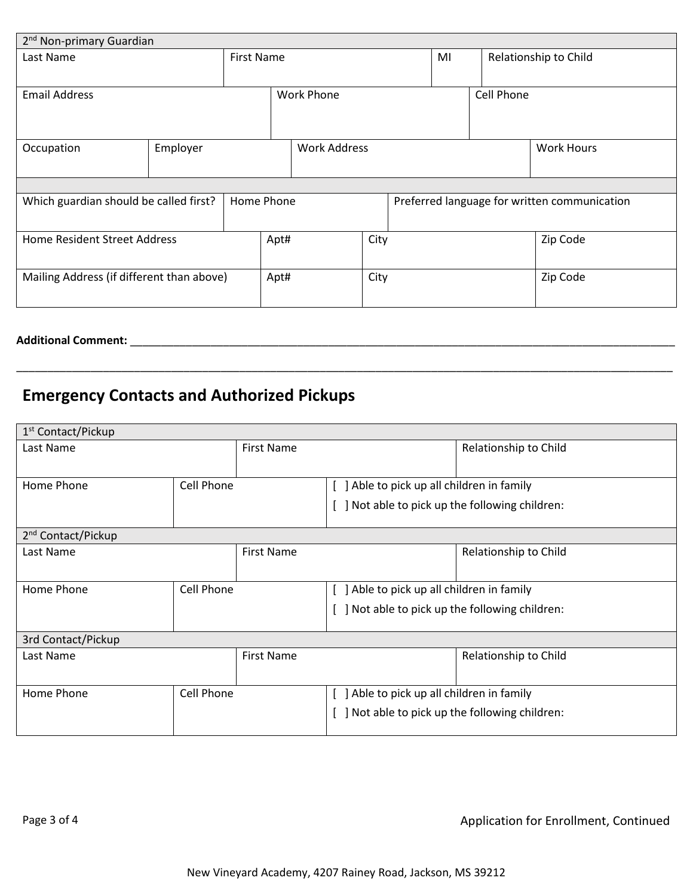| 2 <sup>nd</sup> Non-primary Guardian                 |          |  |                   |                     |      |  |                       |  |                                              |
|------------------------------------------------------|----------|--|-------------------|---------------------|------|--|-----------------------|--|----------------------------------------------|
| <b>First Name</b><br>Last Name                       |          |  |                   |                     | MI   |  | Relationship to Child |  |                                              |
| <b>Email Address</b>                                 |          |  | <b>Work Phone</b> |                     |      |  | Cell Phone            |  |                                              |
| Occupation                                           | Employer |  |                   | <b>Work Address</b> |      |  |                       |  | <b>Work Hours</b>                            |
|                                                      |          |  |                   |                     |      |  |                       |  |                                              |
| Which guardian should be called first?<br>Home Phone |          |  |                   |                     |      |  |                       |  | Preferred language for written communication |
| Home Resident Street Address                         |          |  | Apt#              |                     | City |  |                       |  | Zip Code                                     |
| Mailing Address (if different than above)            |          |  | Apt#              |                     | City |  |                       |  | Zip Code                                     |

\_\_\_\_\_\_\_\_\_\_\_\_\_\_\_\_\_\_\_\_\_\_\_\_\_\_\_\_\_\_\_\_\_\_\_\_\_\_\_\_\_\_\_\_\_\_\_\_\_\_\_\_\_\_\_\_\_\_\_\_\_\_\_\_\_\_\_\_\_\_\_\_\_\_\_\_\_\_\_\_\_\_\_\_\_\_\_\_\_\_\_\_\_\_\_\_\_\_\_\_\_\_\_\_\_\_

**Additional Comment:** \_\_\_\_\_\_\_\_\_\_\_\_\_\_\_\_\_\_\_\_\_\_\_\_\_\_\_\_\_\_\_\_\_\_\_\_\_\_\_\_\_\_\_\_\_\_\_\_\_\_\_\_\_\_\_\_\_\_\_\_\_\_\_\_\_\_\_\_\_\_\_\_\_\_\_\_\_\_\_\_\_\_\_\_\_\_\_\_

# **Emergency Contacts and Authorized Pickups**

| 1 <sup>st</sup> Contact/Pickup  |            |                   |                                          |                                             |  |  |  |  |
|---------------------------------|------------|-------------------|------------------------------------------|---------------------------------------------|--|--|--|--|
| Last Name                       |            | <b>First Name</b> |                                          | Relationship to Child                       |  |  |  |  |
| Home Phone                      | Cell Phone |                   |                                          | ] Able to pick up all children in family    |  |  |  |  |
|                                 |            |                   |                                          | Not able to pick up the following children: |  |  |  |  |
| 2 <sup>nd</sup> Contact/Pickup  |            |                   |                                          |                                             |  |  |  |  |
| Last Name                       |            | <b>First Name</b> |                                          | Relationship to Child                       |  |  |  |  |
| Cell Phone<br>Home Phone        |            |                   | ] Able to pick up all children in family |                                             |  |  |  |  |
|                                 |            |                   |                                          | Not able to pick up the following children: |  |  |  |  |
| 3rd Contact/Pickup              |            |                   |                                          |                                             |  |  |  |  |
| Last Name                       |            | <b>First Name</b> |                                          | Relationship to Child                       |  |  |  |  |
| <b>Cell Phone</b><br>Home Phone |            |                   |                                          | Able to pick up all children in family      |  |  |  |  |
|                                 |            |                   |                                          | Not able to pick up the following children: |  |  |  |  |